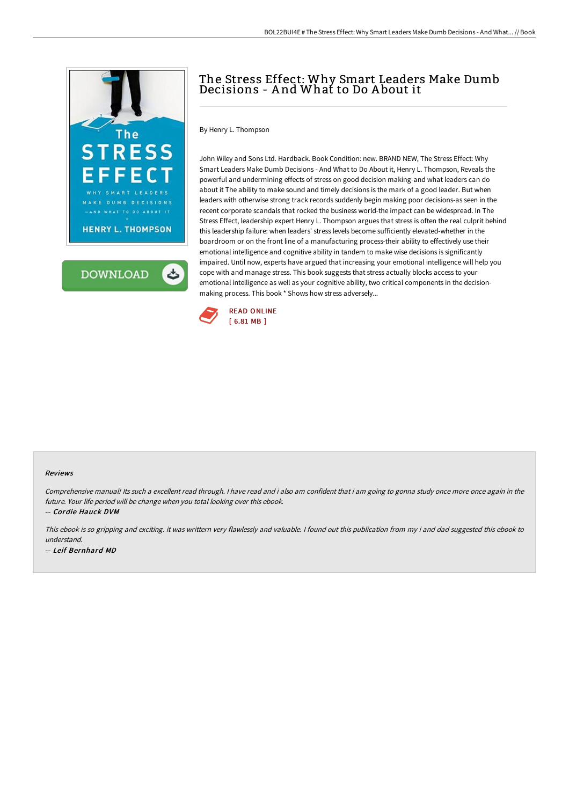

**DOWNLOAD** 

ٹ

## The Stress Effect: Why Smart Leaders Make Dumb Decisions - A nd What to Do A bout it

By Henry L. Thompson

John Wiley and Sons Ltd. Hardback. Book Condition: new. BRAND NEW, The Stress Effect: Why Smart Leaders Make Dumb Decisions - And What to Do About it, Henry L. Thompson, Reveals the powerful and undermining effects of stress on good decision making-and what leaders can do about it The ability to make sound and timely decisions is the mark of a good leader. But when leaders with otherwise strong track records suddenly begin making poor decisions-as seen in the recent corporate scandals that rocked the business world-the impact can be widespread. In The Stress Effect, leadership expert Henry L. Thompson argues that stress is often the real culprit behind this leadership failure: when leaders' stress levels become sufficiently elevated-whether in the boardroom or on the front line of a manufacturing process-their ability to effectively use their emotional intelligence and cognitive ability in tandem to make wise decisions is significantly impaired. Until now, experts have argued that increasing your emotional intelligence will help you cope with and manage stress. This book suggests that stress actually blocks access to your emotional intelligence as well as your cognitive ability, two critical components in the decisionmaking process. This book \* Shows how stress adversely...



## Reviews

Comprehensive manual! Its such <sup>a</sup> excellent read through. <sup>I</sup> have read and i also am confident that i am going to gonna study once more once again in the future. Your life period will be change when you total looking over this ebook.

-- Cordie Hauck DVM

This ebook is so gripping and exciting. it was writtern very flawlessly and valuable. <sup>I</sup> found out this publication from my i and dad suggested this ebook to understand. -- Leif Bernhard MD